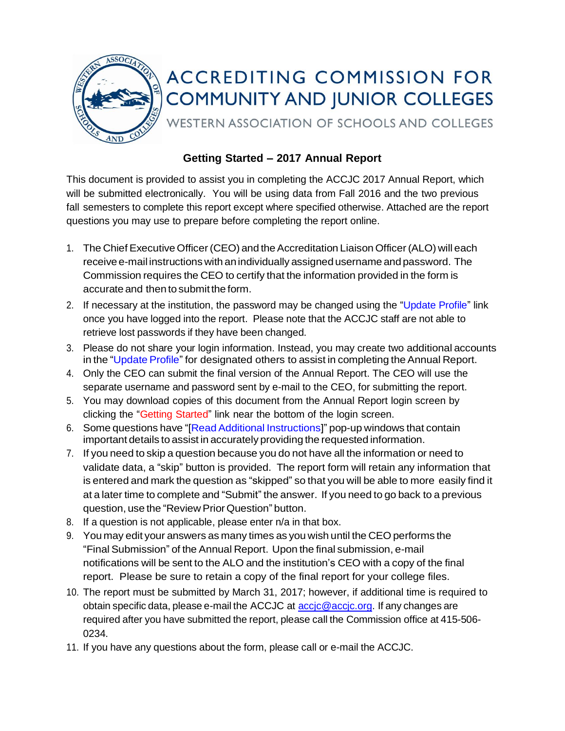

# **ACCREDITING COMMISSION FOR COMMUNITY AND JUNIOR COLLEGES**

WESTERN ASSOCIATION OF SCHOOLS AND COLLEGES

## **Getting Started – 2017 Annual Report**

This document is provided to assist you in completing the ACCJC 2017 Annual Report, which will be submitted electronically. You will be using data from Fall 2016 and the two previous fall semesters to complete this report except where specified otherwise. Attached are the report questions you may use to prepare before completing the report online.

- 1. The Chief Executive Officer (CEO) and the Accreditation Liaison Officer (ALO) will each receive e-mail instructions with an individually assigned username and password. The Commission requires the CEO to certify that the information provided in the form is accurate and then to submit the form.
- 2. If necessary at the institution, the password may be changed using the "Update Profile" link once you have logged into the report. Please note that the ACCJC staff are not able to retrieve lost passwords if they have been changed.
- 3. Please do not share your login information. Instead, you may create two additional accounts in the "Update Profile" for designated others to assist in completing the Annual Report.
- 4. Only the CEO can submit the final version of the Annual Report. The CEO will use the separate username and password sent by e-mail to the CEO, for submitting the report.
- 5. You may download copies of this document from the Annual Report login screen by clicking the "Getting Started" link near the bottom of the login screen.
- 6. Some questions have "[ReadAdditional Instructions]" pop-up windows that contain important details to assist in accurately providing the requested information.
- 7. If you need to skip a question because you do not have all the information or need to validate data, a "skip" button is provided. The report form will retain any information that is entered and mark the question as "skipped" so that you will be able to more easily find it at a later time to complete and "Submit" the answer. If you need to go back to a previous question, use the "Review Prior Question" button.
- 8. If a question is not applicable, please enter n/a in that box.
- 9. You may edit your answers as many times as you wish until the CEO performs the "Final Submission" of the Annual Report. Upon the final submission, e-mail notifications will be sent to the ALO and the institution's CEO with a copy of the final report. Please be sure to retain a copy of the final report for your college files.
- 10. The report must be submitted by March 31, 2017; however, if additional time is required to obtain specific data, please e-mail the ACCJC at [accjc@accjc.org.](mailto:accjc@accjc.org) If any changes are required after you have submitted the report, please call the Commission office at 415-506- 0234.
- 11. If you have any questions about the form, please call or e-mail the ACCJC.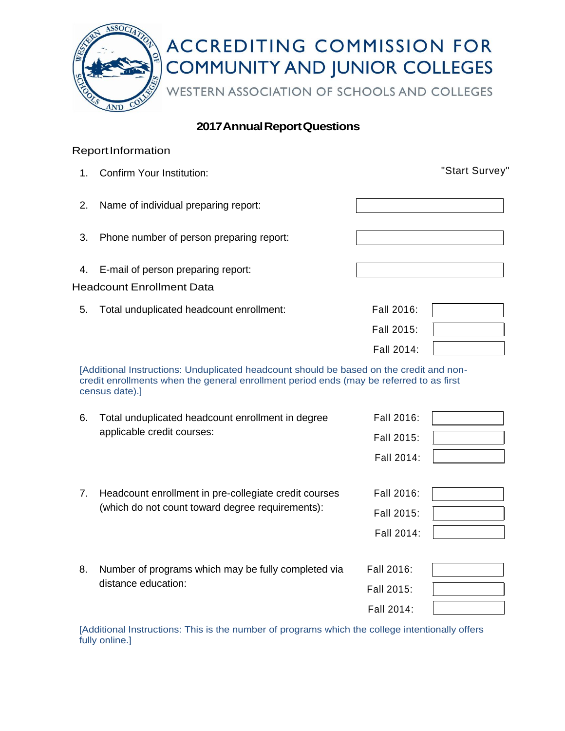

### **2017AnnualReportQuestions**

#### **ReportInformation**

1. Confirm Your Institution: "Start Survey" 2. Name of individual preparing report: 3. Phone number of person preparing report: 4. E-mail of person preparing report: Headcount Enrollment Data 5. Total unduplicated headcount enrollment: Fall 2016: Fall 2015: Fall 2014:

[Additional Instructions: Unduplicated headcount should be based on the credit and noncredit enrollments when the general enrollment period ends (may be referred to as first census date).]

| 6. | Total unduplicated headcount enrollment in degree     | Fall 2016: |  |
|----|-------------------------------------------------------|------------|--|
|    | applicable credit courses:                            | Fall 2015: |  |
|    |                                                       | Fall 2014: |  |
|    |                                                       |            |  |
| 7. | Headcount enrollment in pre-collegiate credit courses | Fall 2016: |  |
|    | (which do not count toward degree requirements):      | Fall 2015: |  |
|    |                                                       | Fall 2014: |  |
|    |                                                       |            |  |
| 8. | Number of programs which may be fully completed via   | Fall 2016: |  |
|    | distance education:                                   | Fall 2015: |  |
|    |                                                       | Fall 2014: |  |

[Additional Instructions: This is the number of programs which the college intentionally offers fully online.]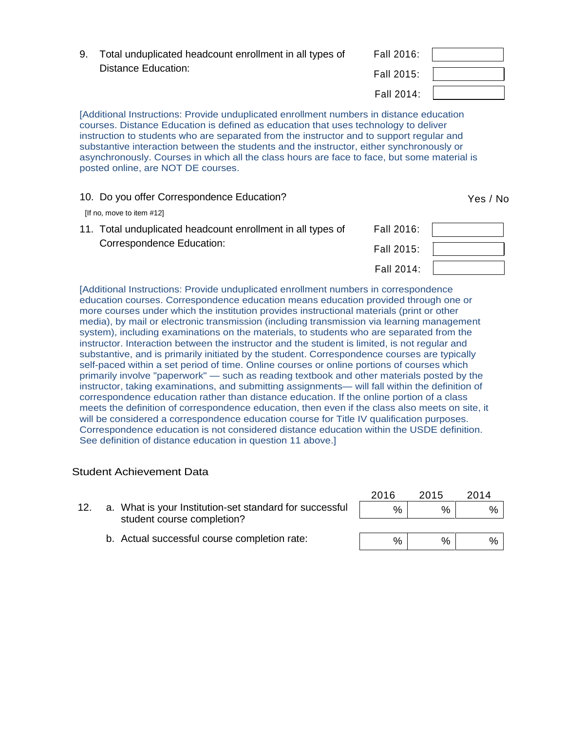| 9. Total unduplicated headcount enrollment in all types of | Fall 2016: |  |
|------------------------------------------------------------|------------|--|
| Distance Education:                                        | Fall 2015: |  |
|                                                            | Fall 2014: |  |

[Additional Instructions: Provide unduplicated enrollment numbers in distance education courses. Distance Education is defined as education that uses technology to deliver instruction to students who are separated from the instructor and to support regular and substantive interaction between the students and the instructor, either synchronously or asynchronously. Courses in which all the class hours are face to face, but some material is posted online, are NOT DE courses.

#### 10. Do you offer Correspondence Education? The Contract of the Yes / No. 2014.

[If no, move to item #12]

| 11. Total unduplicated headcount enrollment in all types of | Fall 2016: |  |
|-------------------------------------------------------------|------------|--|
| Correspondence Education:                                   | Fall 2015: |  |
|                                                             | Fall 2014: |  |

[Additional Instructions: Provide unduplicated enrollment numbers in correspondence education courses. Correspondence education means education provided through one or more courses under which the institution provides instructional materials (print or other media), by mail or electronic transmission (including transmission via learning management system), including examinations on the materials, to students who are separated from the instructor. Interaction between the instructor and the student is limited, is not regular and substantive, and is primarily initiated by the student. Correspondence courses are typically self-paced within a set period of time. Online courses or online portions of courses which primarily involve "paperwork" — such as reading textbook and other materials posted by the instructor, taking examinations, and submitting assignments— will fall within the definition of correspondence education rather than distance education. If the online portion of a class meets the definition of correspondence education, then even if the class also meets on site, it will be considered a correspondence education course for Title IV qualification purposes. Correspondence education is not considered distance education within the USDE definition. See definition of distance education in question 11 above.]

#### Student Achievement Data

|  |                                                                                       | 2016 | 2015 | 2014 |
|--|---------------------------------------------------------------------------------------|------|------|------|
|  | a. What is your Institution-set standard for successful<br>student course completion? | %    | %    | %    |
|  |                                                                                       |      |      |      |
|  | b. Actual successful course completion rate:                                          | %    | %    | %    |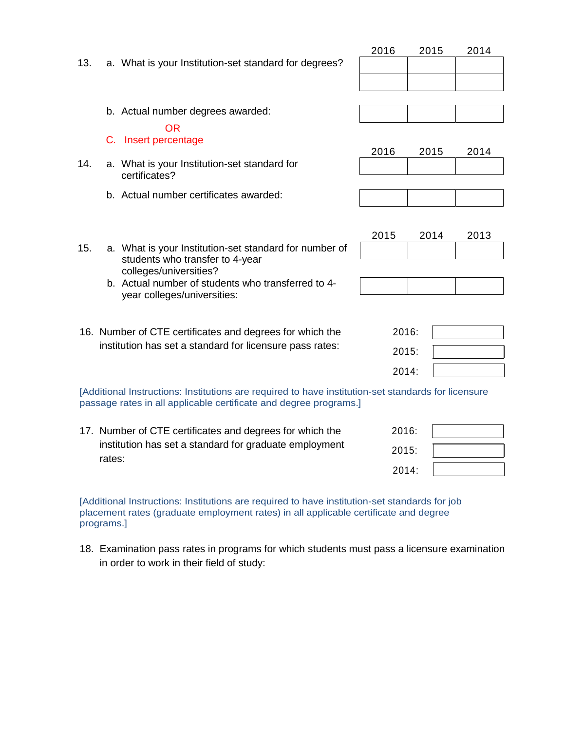| 13. | a. What is your Institution-set standard for degrees?                                                                                                                    | 2016  | 2015 | 2014 |
|-----|--------------------------------------------------------------------------------------------------------------------------------------------------------------------------|-------|------|------|
|     |                                                                                                                                                                          |       |      |      |
|     | b. Actual number degrees awarded:                                                                                                                                        |       |      |      |
|     | OR.<br>C. Insert percentage                                                                                                                                              | 2016  | 2015 | 2014 |
| 14. | a. What is your Institution-set standard for<br>certificates?                                                                                                            |       |      |      |
|     | b. Actual number certificates awarded:                                                                                                                                   |       |      |      |
|     |                                                                                                                                                                          | 2015  | 2014 | 2013 |
| 15. | a. What is your Institution-set standard for number of<br>students who transfer to 4-year                                                                                |       |      |      |
|     | colleges/universities?                                                                                                                                                   |       |      |      |
|     | b. Actual number of students who transferred to 4-<br>year colleges/universities:                                                                                        |       |      |      |
|     |                                                                                                                                                                          |       |      |      |
|     | 16. Number of CTE certificates and degrees for which the                                                                                                                 | 2016: |      |      |
|     | institution has set a standard for licensure pass rates:                                                                                                                 | 2015: |      |      |
|     |                                                                                                                                                                          | 2014: |      |      |
|     | [Additional Instructions: Institutions are required to have institution-set standards for licensure<br>passage rates in all applicable certificate and degree programs.] |       |      |      |
|     | 17. Number of CTE certificates and degrees for which the                                                                                                                 | 2016: |      |      |
|     | institution has set a standard for graduate employment                                                                                                                   | 2015: |      |      |
|     | rates:                                                                                                                                                                   | 2014: |      |      |

[Additional Instructions: Institutions are required to have institution-set standards for job placement rates (graduate employment rates) in all applicable certificate and degree programs.]

18. Examination pass rates in programs for which students must pass a licensure examination in order to work in their field of study: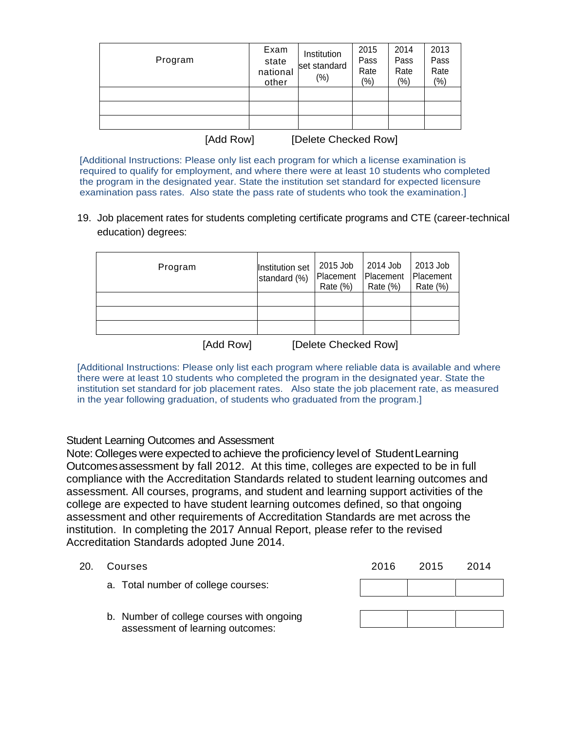| Program   | Exam<br>state<br>national<br>other | Institution<br>set standard<br>$(\% )$ | 2015<br>Pass<br>Rate<br>$(\%)$ | 2014<br>Pass<br>Rate<br>(%) | 2013<br>Pass<br>Rate<br>$(\% )$ |
|-----------|------------------------------------|----------------------------------------|--------------------------------|-----------------------------|---------------------------------|
|           |                                    |                                        |                                |                             |                                 |
|           |                                    |                                        |                                |                             |                                 |
|           |                                    |                                        |                                |                             |                                 |
| [Add Row] |                                    | [Delete Checked Row]                   |                                |                             |                                 |

[Additional Instructions: Please only list each program for which a license examination is required to qualify for employment, and where there were at least 10 students who completed the program in the designated year. State the institution set standard for expected licensure examination pass rates. Also state the pass rate of students who took the examination.]

19. Job placement rates for students completing certificate programs and CTE (career-technical education) degrees:

| Program   | Institution set<br>standard (%) | 2015 Job<br>Placement<br>Rate $(\%)$ | 2014 Job<br>Placement<br>Rate $(\%)$ | 2013 Job<br><b>IPlacement</b><br>Rate $(\%)$ |
|-----------|---------------------------------|--------------------------------------|--------------------------------------|----------------------------------------------|
|           |                                 |                                      |                                      |                                              |
|           |                                 |                                      |                                      |                                              |
|           |                                 |                                      |                                      |                                              |
| [Add Row] |                                 | [Delete Checked Row]                 |                                      |                                              |

[Additional Instructions: Please only list each program where reliable data is available and where there were at least 10 students who completed the program in the designated year. State the institution set standard for job placement rates. Also state the job placement rate, as measured in the year following graduation, of students who graduated from the program.]

#### Student Learning Outcomes and Assessment

Note: Colleges were expected to achieve the proficiency level of StudentLearning Outcomesassessment by fall 2012. At this time, colleges are expected to be in full compliance with the Accreditation Standards related to student learning outcomes and assessment. All courses, programs, and student and learning support activities of the college are expected to have student learning outcomes defined, so that ongoing assessment and other requirements of Accreditation Standards are met across the institution. In completing the 2017 Annual Report, please refer to the revised Accreditation Standards adopted June 2014.

- 20. Courses
	- a. Total number of college courses:

| 2016 | 2015 | 2014 |
|------|------|------|
|      |      |      |
|      |      |      |
|      |      |      |

b. Number of college courses with ongoing assessment of learning outcomes: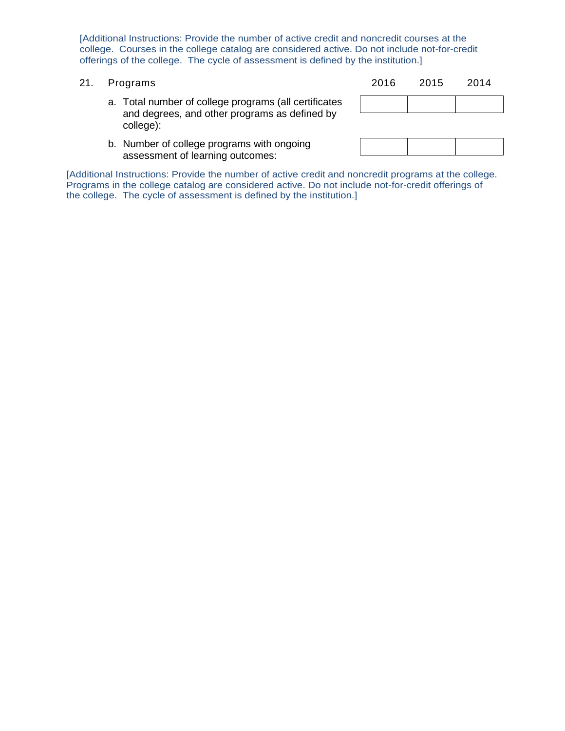[Additional Instructions: Provide the number of active credit and noncredit courses at the college. Courses in the college catalog are considered active. Do not include not-for-credit offerings of the college. The cycle of assessment is defined by the institution.]

- 
- 21. Programs 2016 2015 2014
	- a. Total number of college programs (all certificates and degrees, and other programs as defined by college):
	- b. Number of college programs with ongoing assessment of learning outcomes:

[Additional Instructions: Provide the number of active credit and noncredit programs at the college. Programs in the college catalog are considered active. Do not include not-for-credit offerings of the college. The cycle of assessment is defined by the institution.]